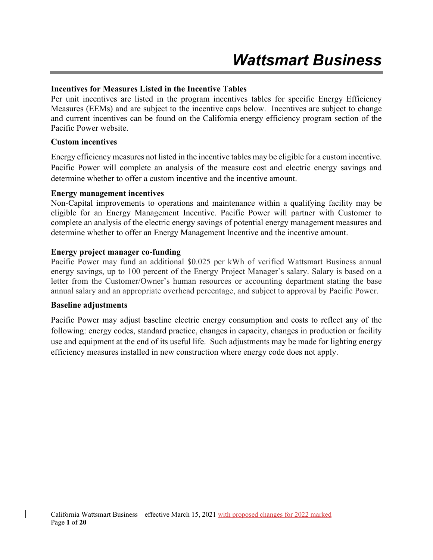## **Incentives for Measures Listed in the Incentive Tables**

Per unit incentives are listed in the program incentives tables for specific Energy Efficiency Measures (EEMs) and are subject to the incentive caps below. Incentives are subject to change and current incentives can be found on the California energy efficiency program section of the Pacific Power website.

### **Custom incentives**

Energy efficiency measures not listed in the incentive tables may be eligible for a custom incentive. Pacific Power will complete an analysis of the measure cost and electric energy savings and determine whether to offer a custom incentive and the incentive amount.

### **Energy management incentives**

Non-Capital improvements to operations and maintenance within a qualifying facility may be eligible for an Energy Management Incentive. Pacific Power will partner with Customer to complete an analysis of the electric energy savings of potential energy management measures and determine whether to offer an Energy Management Incentive and the incentive amount.

## **Energy project manager co-funding**

Pacific Power may fund an additional \$0.025 per kWh of verified Wattsmart Business annual energy savings, up to 100 percent of the Energy Project Manager's salary. Salary is based on a letter from the Customer/Owner's human resources or accounting department stating the base annual salary and an appropriate overhead percentage, and subject to approval by Pacific Power.

### **Baseline adjustments**

Pacific Power may adjust baseline electric energy consumption and costs to reflect any of the following: energy codes, standard practice, changes in capacity, changes in production or facility use and equipment at the end of its useful life. Such adjustments may be made for lighting energy efficiency measures installed in new construction where energy code does not apply.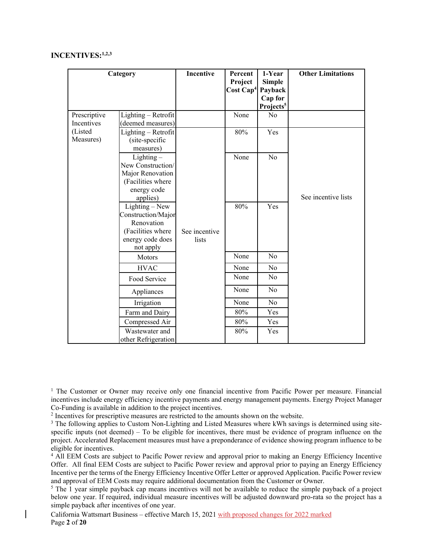### **INCENTIVES:1,2,3**

|              | Category                              | Incentive              | Percent<br>Project            | 1-Year<br><b>Simple</b>          | <b>Other Limitations</b> |
|--------------|---------------------------------------|------------------------|-------------------------------|----------------------------------|--------------------------|
|              |                                       |                        | Cost Cap <sup>4</sup> Payback |                                  |                          |
|              |                                       |                        |                               | Cap for<br>Projects <sup>5</sup> |                          |
| Prescriptive | Lighting - Retrofit                   |                        | None                          | No                               |                          |
| Incentives   | (deemed measures)                     |                        |                               |                                  |                          |
| (Listed      | Lighting - Retrofit                   |                        | 80%                           | Yes                              |                          |
| Measures)    | (site-specific                        |                        |                               |                                  |                          |
|              | measures)                             |                        |                               |                                  |                          |
|              | $Lighting -$                          |                        | None                          | No                               |                          |
|              | New Construction/                     |                        |                               |                                  |                          |
|              | Major Renovation                      |                        |                               |                                  |                          |
|              | (Facilities where                     |                        |                               |                                  |                          |
|              | energy code                           |                        |                               |                                  |                          |
|              | applies)                              |                        |                               |                                  | See incentive lists      |
|              | Lighting – New                        |                        | 80%                           | Yes                              |                          |
|              | Construction/Major                    |                        |                               |                                  |                          |
|              | Renovation                            |                        |                               |                                  |                          |
|              | (Facilities where<br>energy code does | See incentive<br>lists |                               |                                  |                          |
|              | not apply                             |                        |                               |                                  |                          |
|              | Motors                                |                        | None                          | No                               |                          |
|              | <b>HVAC</b>                           |                        | None                          | No                               |                          |
|              | Food Service                          |                        | None                          | No                               |                          |
|              | Appliances                            |                        | None                          | No                               |                          |
|              | Irrigation                            |                        | None                          | No                               |                          |
|              | Farm and Dairy                        |                        | 80%                           | Yes                              |                          |
|              | Compressed Air                        |                        | 80%                           | Yes                              |                          |
|              | Wastewater and                        |                        | 80%                           | Yes                              |                          |
|              | other Refrigeration                   |                        |                               |                                  |                          |

<sup>1</sup> The Customer or Owner may receive only one financial incentive from Pacific Power per measure. Financial incentives include energy efficiency incentive payments and energy management payments. Energy Project Manager Co-Funding is available in addition to the project incentives.

<sup>2</sup> Incentives for prescriptive measures are restricted to the amounts shown on the website.  $3 \text{ The following applies to Cuetom Non-I isthird and I isted Measures where kWh saving.}$ 

<sup>3</sup> The following applies to Custom Non-Lighting and Listed Measures where kWh savings is determined using sitespecific inputs (not deemed) – To be eligible for incentives, there must be evidence of program influence on the project. Accelerated Replacement measures must have a preponderance of evidence showing program influence to be eligible for incentives.

4 All EEM Costs are subject to Pacific Power review and approval prior to making an Energy Efficiency Incentive Offer. All final EEM Costs are subject to Pacific Power review and approval prior to paying an Energy Efficiency Incentive per the terms of the Energy Efficiency Incentive Offer Letter or approved Application. Pacific Power review and approval of EEM Costs may require additional documentation from the Customer or Owner.

<sup>5</sup> The 1 year simple payback cap means incentives will not be available to reduce the simple payback of a project below one year. If required, individual measure incentives will be adjusted downward pro-rata so the project has a simple payback after incentives of one year.

California Wattsmart Business – effective March 15, 2021 with proposed changes for 2022 marked Page **2** of **20**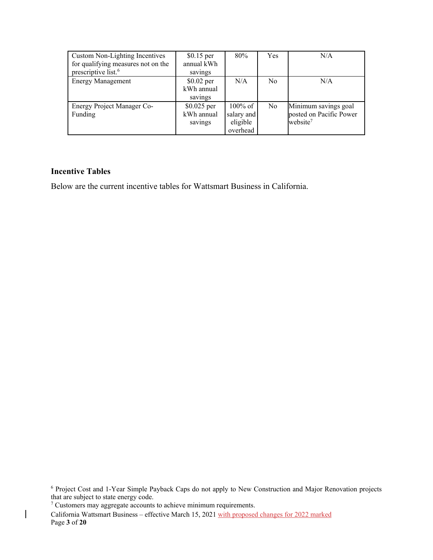| Custom Non-Lighting Incentives<br>for qualifying measures not on the<br>prescriptive list. <sup>6</sup> | $$0.15$ per<br>annual kWh<br>savings  | 80%                                              | Yes            | N/A                                                                     |
|---------------------------------------------------------------------------------------------------------|---------------------------------------|--------------------------------------------------|----------------|-------------------------------------------------------------------------|
| <b>Energy Management</b>                                                                                | $$0.02$ per<br>kWh annual<br>savings  | N/A                                              | N <sub>0</sub> | N/A                                                                     |
| Energy Project Manager Co-<br>Funding                                                                   | $$0.025$ per<br>kWh annual<br>savings | $100\%$ of<br>salary and<br>eligible<br>overhead | N <sub>o</sub> | Minimum savings goal<br>posted on Pacific Power<br>website <sup>7</sup> |

### **Incentive Tables**

 $\overline{\phantom{a}}$ 

Below are the current incentive tables for Wattsmart Business in California.

<sup>6</sup> Project Cost and 1-Year Simple Payback Caps do not apply to New Construction and Major Renovation projects that are subject to state energy code.

 $7$  Customers may aggregate accounts to achieve minimum requirements.

California Wattsmart Business – effective March 15, 2021 with proposed changes for 2022 marked Page **3** of **20**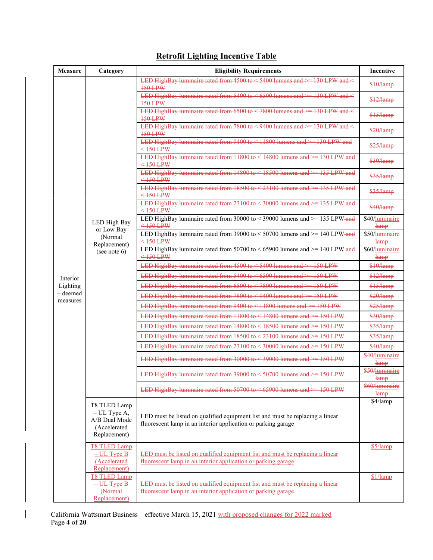| <b>Measure</b>         | Category                                                        | <b>Eligibility Requirements</b>                                                                                                                | Incentive                         |
|------------------------|-----------------------------------------------------------------|------------------------------------------------------------------------------------------------------------------------------------------------|-----------------------------------|
|                        |                                                                 | LED HighBay luminaire rated from 4500 to $\leq$ 5400 lumens and $\geq$ 130 LPW and $\leq$<br><b>150 LPW</b>                                    | \$10/lamp                         |
|                        |                                                                 | LED HighBay luminaire rated from 5400 to $\leq 6500$ lumens and $\geq$ 130 LPW and $\leq$<br>$150$ LPW                                         | \$12/lamp                         |
|                        |                                                                 | LED HighBay luminaire rated from 6500 to $\leq$ 7800 lumens and $\geq$ 130 LPW and $\leq$<br><b>150 LPW</b>                                    | \$15/lamp                         |
|                        |                                                                 | LED HighBay luminaire rated from 7800 to < 9400 lumens and >= 130 LPW and <<br><b>150 LPW</b>                                                  | \$20/lamp                         |
|                        |                                                                 | LED HighBay luminaire rated from 9400 to $\leq$ 11800 lumens and $\geq$ 130 LPW and<br>$<$ 150 LPW                                             | \$25/lamp                         |
|                        |                                                                 | LED HighBay luminaire rated from 11800 to < 14800 lumens and > 130 LPW and<br>$<$ 150 LPW                                                      | \$30/lamp                         |
|                        |                                                                 | LED HighBay luminaire rated from 14800 to < 18500 lumens and > 135 LPW and<br>$<$ 150 LPW                                                      | \$35/lamp                         |
|                        |                                                                 | LED HighBay luminaire rated from 18500 to <23100 lumens and > 135 LPW and<br>$\leq$ 150 LPW                                                    | \$35/lamp                         |
|                        |                                                                 | LED HighBay luminaire rated from 23100 to $\leq$ 30000 lumens and $\geq$ 135 LPW and<br>$\leq 150$ LPW                                         | \$40/lamp                         |
|                        | LED High Bay<br>or Low Bay                                      | LED HighBay luminaire rated from 30000 to < 39000 lumens and $\ge$ = 135 LPW-and<br>$<$ 150 LPW                                                | \$40/luminaire<br>lamp            |
|                        | (Normal<br>Replacement)                                         | LED HighBay luminaire rated from 39000 to $<$ 50700 lumens and $>=$ 140 LPW-and<br>$\leq$ 150 LPW                                              | \$50/luminaire<br>lamp            |
|                        | (see note $6$ )                                                 | LED HighBay luminaire rated from $50700$ to $\leq 65900$ lumens and $\geq 140$ LPW-and<br>$<$ 150 LPW                                          | \$60/luminaire<br>lamp            |
|                        |                                                                 | LED HighBay luminaire rated from $4500$ to $\leq 5400$ lumens and $\geq 150$ LPW                                                               | \$10/lamp                         |
| Interior               |                                                                 | LED HighBay luminaire rated from 5400 to $\leq 6500$ lumens and $\geq$ 150 LPW                                                                 | \$12/lamp                         |
| Lighting               |                                                                 | LED HighBay luminaire rated from 6500 to < 7800 lumens and > 150 LPW                                                                           | \$15/lamp                         |
| $-$ deemed<br>measures |                                                                 | LED HighBay luminaire rated from 7800 to < 9400 lumens and > 150 LPW                                                                           | \$20/lamp                         |
|                        |                                                                 | LED HighBay luminaire rated from 9400 to < 11800 lumens and > 150 LPW                                                                          | \$25/lamp                         |
|                        |                                                                 | LED HighBay luminaire rated from 11800 to < 14800 lumens and > 150 LPW                                                                         | \$30/lamp                         |
|                        |                                                                 | LED HighBay luminaire rated from 14800 to < 18500 lumens and > = 150 LPW                                                                       | \$35/lamp                         |
|                        |                                                                 | LED HighBay luminaire rated from $18500$ to $\leq$ 23100 lumens and $\geq$ 150 LPW                                                             | \$35/lamp                         |
|                        |                                                                 | LED HighBay luminaire rated from 23100 to < 30000 lumens and > 150 LPW                                                                         | \$40/lamp                         |
|                        |                                                                 | LED HighBay luminaire rated from 30000 to < 39000 lumens and > 150 LPW                                                                         | \$40/luminaire<br>lamp            |
|                        |                                                                 | LED HighBay luminaire rated from 39000 to $\leq$ 50700 lumens and $\geq$ 150 LPW                                                               | \$50/luminaire<br><del>lamp</del> |
|                        |                                                                 | LED HighBay luminaire rated from 50700 to < 65900 lumens and > - 150 LPW                                                                       | \$60/luminaire<br>lamp            |
|                        | T8 TLED Lamp                                                    |                                                                                                                                                | \$4/lamp                          |
|                        | $-$ UL Type A,<br>A/B Dual Mode<br>(Accelerated<br>Replacement) | LED must be listed on qualified equipment list and must be replacing a linear<br>fluorescent lamp in an interior application or parking garage |                                   |
|                        | <b>T8 TLED Lamp</b>                                             |                                                                                                                                                | \$5/lamp                          |
|                        | $-$ UL Type B<br>(Accelerated<br>Replacement)                   | LED must be listed on qualified equipment list and must be replacing a linear<br>fluorescent lamp in an interior application or parking garage |                                   |
|                        | <b>T8 TLED Lamp</b>                                             |                                                                                                                                                | \$1/lamp                          |
|                        | $-$ UL Type B<br>(Normal<br>Replacement)                        | LED must be listed on qualified equipment list and must be replacing a linear<br>fluorescent lamp in an interior application or parking garage |                                   |

# **Retrofit Lighting Incentive Table**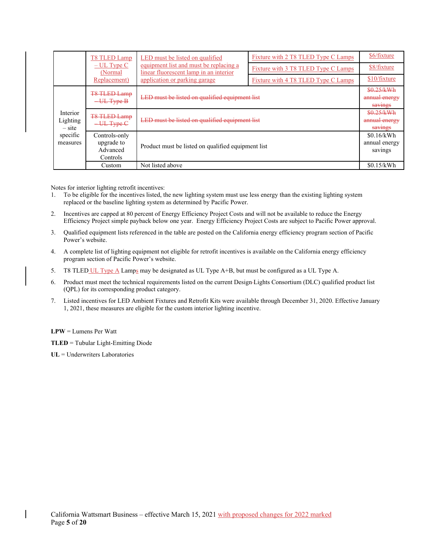|                                  | T8 TLED Lamp                                                                                                                                                   | LED must be listed on qualified                    | Fixture with 2 T8 TLED Type C Lamps    | \$6/fixture                            |
|----------------------------------|----------------------------------------------------------------------------------------------------------------------------------------------------------------|----------------------------------------------------|----------------------------------------|----------------------------------------|
|                                  | equipment list and must be replacing a<br>$-$ UL Type C<br>linear fluorescent lamp in an interior<br>(Normal)<br>application or parking garage<br>Replacement) |                                                    | Fixture with 3 T8 TLED Type C Lamps    | \$8/fixture                            |
|                                  |                                                                                                                                                                | Fixture with 4 T8 TLED Type C Lamps                | \$10/fixture                           |                                        |
|                                  | <b>T&amp; TLED Lamp</b><br>UL Type B                                                                                                                           | LED must be listed on qualified equipment list     |                                        | \$0.25/kWh<br>annual energy<br>savings |
| Interior<br>Lighting<br>$-$ site | <b>T8 TLED Lamp</b><br>$-\text{UL Type-}\text{C}$                                                                                                              | LED must be listed on qualified equipment list     | \$0.25/kWh<br>annual energy<br>savings |                                        |
| specific<br>measures             | Controls-only<br>upgrade to<br>Advanced<br>Controls                                                                                                            | Product must be listed on qualified equipment list |                                        | \$0.16/kWh<br>annual energy<br>savings |
|                                  | Custom                                                                                                                                                         | Not listed above                                   |                                        | \$0.15/kWh                             |

Notes for interior lighting retrofit incentives:

- 1. To be eligible for the incentives listed, the new lighting system must use less energy than the existing lighting system replaced or the baseline lighting system as determined by Pacific Power.
- 2. Incentives are capped at 80 percent of Energy Efficiency Project Costs and will not be available to reduce the Energy Efficiency Project simple payback below one year. Energy Efficiency Project Costs are subject to Pacific Power approval.
- 3. Qualified equipment lists referenced in the table are posted on the California energy efficiency program section of Pacific Power's website.
- 4. A complete list of lighting equipment not eligible for retrofit incentives is available on the California energy efficiency program section of Pacific Power's website.
- 5. T8 TLED UL Type A Lamps may be designated as UL Type A+B, but must be configured as a UL Type A.
- 6. Product must meet the technical requirements listed on the current Design Lights Consortium (DLC) qualified product list (QPL) for its corresponding product category.
- 7. Listed incentives for LED Ambient Fixtures and Retrofit Kits were available through December 31, 2020. Effective January 1, 2021, these measures are eligible for the custom interior lighting incentive.

**LPW** = Lumens Per Watt

**TLED** = Tubular Light-Emitting Diode

**UL** = Underwriters Laboratories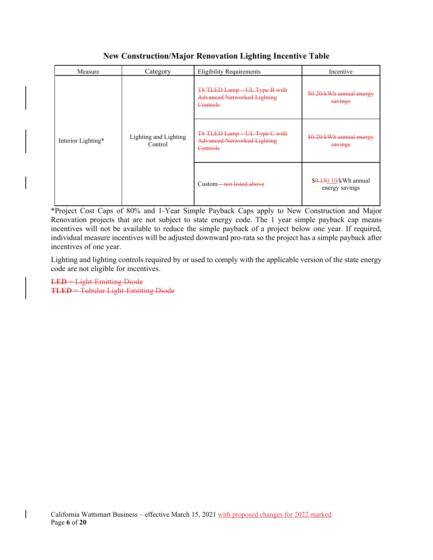### Measure Category Eligibility Requirements Incentive Interior Lighting\* Lighting and Lighting Control T8 TLED Lamp – UL Type B with Advanced Networked Lighting **Controls** \$0.20/kWh annual energy savings T8 TLED Lamp – UL Type C with Advanced Networked Lighting **Controls** \$0.20/kWh annual energy savings Custom—not listed above  $$0.150/kWh$  annual energy savings

# **New Construction/Major Renovation Lighting Incentive Table**

\*Project Cost Caps of 80% and 1-Year Simple Payback Caps apply to New Construction and Major Renovation projects that are not subject to state energy code. The 1 year simple payback cap means incentives will not be available to reduce the simple payback of a project below one year. If required, individual measure incentives will be adjusted downward pro-rata so the project has a simple payback after incentives of one year.

Lighting and lighting controls required by or used to comply with the applicable version of the state energy code are not eligible for incentives.

**LED** = Light-Emitting Diode **TLED** = Tubular Light-Emitting Diode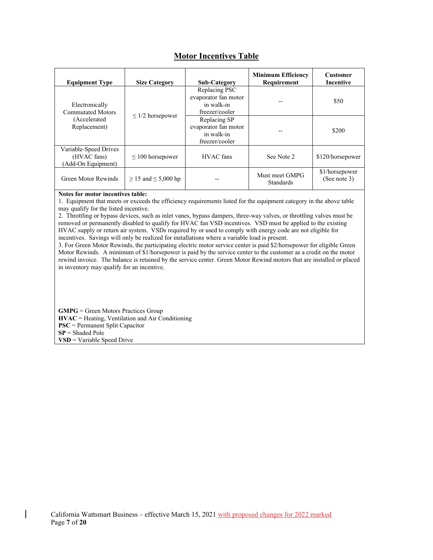# **Motor Incentives Table**

| <b>Equipment Type</b>                                      | <b>Size Category</b>          | <b>Sub-Category</b>                                                   | <b>Minimum Efficiency</b><br>Requirement | <b>Customer</b><br>Incentive   |
|------------------------------------------------------------|-------------------------------|-----------------------------------------------------------------------|------------------------------------------|--------------------------------|
| Electronically<br><b>Commutated Motors</b>                 |                               | Replacing PSC<br>evaporator fan motor<br>in walk-in<br>freezer/cooler |                                          | \$50                           |
| (Accelerated<br>Replacement)                               | $\leq$ 1/2 horsepower         | Replacing SP<br>evaporator fan motor<br>in walk-in<br>freezer/cooler  |                                          | \$200                          |
| Variable-Speed Drives<br>(HVAC fans)<br>(Add-On Equipment) | $\leq 100$ horsepower         | <b>HVAC</b> fans                                                      | See Note 2                               | \$120/horsepower               |
| Green Motor Rewinds                                        | $\geq$ 15 and $\leq$ 5,000 hp |                                                                       | Must meet GMPG<br>Standards              | \$1/horsepower<br>(See note 3) |

**Notes for motor incentives table:**

1. Equipment that meets or exceeds the efficiency requirements listed for the equipment category in the above table may qualify for the listed incentive.

2. Throttling or bypass devices, such as inlet vanes, bypass dampers, three-way valves, or throttling valves must be removed or permanently disabled to qualify for HVAC fan VSD incentives. VSD must be applied to the existing HVAC supply or return air system. VSDs required by or used to comply with energy code are not eligible for incentives. Savings will only be realized for installations where a variable load is present.

3. For Green Motor Rewinds, the participating electric motor service center is paid \$2/horsepower for eligible Green Motor Rewinds. A minimum of \$1/horsepower is paid by the service center to the customer as a credit on the motor rewind invoice. The balance is retained by the service center. Green Motor Rewind motors that are installed or placed in inventory may qualify for an incentive.

**GMPG** = Green Motors Practices Group **HVAC** = Heating, Ventilation and Air Conditioning **PSC** = Permanent Split Capacitor **SP** = Shaded Pole **VSD** = Variable Speed Drive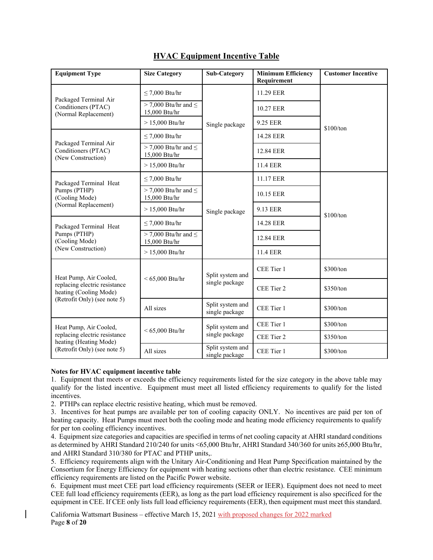| <b>Equipment Type</b>                                                | <b>Size Category</b>                         | <b>Sub-Category</b>                | <b>Minimum Efficiency</b><br>Requirement | <b>Customer Incentive</b> |
|----------------------------------------------------------------------|----------------------------------------------|------------------------------------|------------------------------------------|---------------------------|
|                                                                      | $\leq$ 7,000 Btu/hr                          |                                    | 11.29 EER                                |                           |
| Packaged Terminal Air<br>Conditioners (PTAC)<br>(Normal Replacement) | $>$ 7,000 Btu/hr and $\leq$<br>15,000 Btu/hr |                                    | 10.27 EER                                |                           |
|                                                                      | $> 15,000$ Btu/hr                            | Single package                     | 9.25 EER                                 | \$100/ton                 |
|                                                                      | $\leq$ 7,000 Btu/hr                          |                                    | 14.28 EER                                |                           |
| Packaged Terminal Air<br>Conditioners (PTAC)<br>(New Construction)   | $>$ 7,000 Btu/hr and $\leq$<br>15,000 Btu/hr |                                    | 12.84 EER                                |                           |
|                                                                      | $> 15,000$ Btu/hr                            |                                    | <b>11.4 EER</b>                          |                           |
| Packaged Terminal Heat                                               | $\leq$ 7,000 Btu/hr                          |                                    | 11.17 EER                                |                           |
| Pumps (PTHP)<br>(Cooling Mode)                                       | $>$ 7,000 Btu/hr and $\leq$<br>15,000 Btu/hr |                                    | 10.15 EER                                |                           |
| (Normal Replacement)                                                 | $> 15,000$ Btu/hr                            | Single package                     | 9.13 EER                                 | \$100/ton                 |
| Packaged Terminal Heat                                               | $\leq$ 7,000 Btu/hr                          |                                    | 14.28 EER                                |                           |
| Pumps (PTHP)<br>(Cooling Mode)                                       | $>$ 7,000 Btu/hr and $\leq$<br>15,000 Btu/hr |                                    | 12.84 EER                                |                           |
| (New Construction)                                                   | $> 15,000$ Btu/hr                            |                                    | 11.4 EER                                 |                           |
| Heat Pump, Air Cooled,                                               | $< 65,000$ Btu/hr                            | Split system and                   | CEE Tier 1                               | \$300/ton                 |
| replacing electric resistance<br>heating (Cooling Mode)              |                                              | single package                     | CEE Tier 2                               | \$350/ton                 |
| (Retrofit Only) (see note 5)                                         | All sizes                                    | Split system and<br>single package | CEE Tier 1                               | \$300/ton                 |
| Heat Pump, Air Cooled,                                               |                                              | Split system and                   | CEE Tier 1                               | \$300/ton                 |
| replacing electric resistance<br>heating (Heating Mode)              | $< 65,000$ Btu/hr                            | single package                     | CEE Tier 2                               | \$350/ton                 |
| (Retrofit Only) (see note 5)                                         | All sizes                                    | Split system and<br>single package | CEE Tier 1                               | \$300/ton                 |

# **HVAC Equipment Incentive Table**

#### **Notes for HVAC equipment incentive table**

1. Equipment that meets or exceeds the efficiency requirements listed for the size category in the above table may qualify for the listed incentive. Equipment must meet all listed efficiency requirements to qualify for the listed incentives.

2. PTHPs can replace electric resistive heating, which must be removed.

3. Incentives for heat pumps are available per ton of cooling capacity ONLY. No incentives are paid per ton of heating capacity. Heat Pumps must meet both the cooling mode and heating mode efficiency requirements to qualify for per ton cooling efficiency incentives.

4. Equipment size categories and capacities are specified in terms of net cooling capacity at AHRI standard conditions as determined by AHRI Standard 210/240 for units <65,000 Btu/hr, AHRI Standard 340/360 for units ≥65,000 Btu/hr, and AHRI Standard 310/380 for PTAC and PTHP units,.

5. Efficiency requirements align with the Unitary Air-Conditioning and Heat Pump Specification maintained by the Consortium for Energy Efficiency for equipment with heating sections other than electric resistance. CEE minimum efficiency requirements are listed on the Pacific Power website.

6. Equipment must meet CEE part load efficiency requirements (SEER or IEER). Equipment does not need to meet CEE full load efficiency requirements (EER), as long as the part load efficiency requirement is also specificed for the equipment in CEE. If CEE only lists full load efficiency requirements (EER), then equipment must meet this standard.

California Wattsmart Business – effective March 15, 2021 with proposed changes for 2022 marked Page **8** of **20**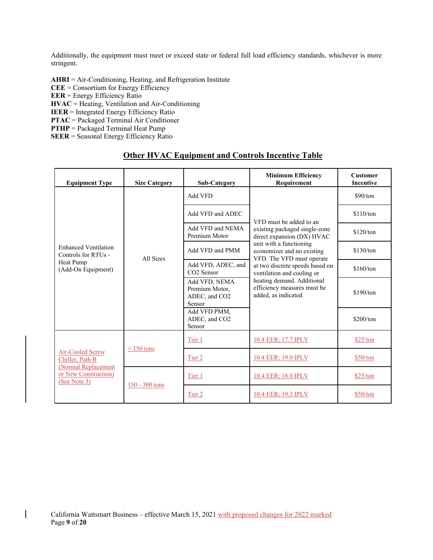Additionally, the equipment must meet or exceed state or federal full load efficiency standards, whichever is more stringent.

**AHRI** = Air-Conditioning, Heating, and Refrigeration Institute **CEE** = Consortium for Energy Efficiency **EER** = Energy Efficiency Ratio **HVAC** = Heating, Ventilation and Air-Conditioning **IEER** = Integrated Energy Efficiency Ratio **PTAC** = Packaged Terminal Air Conditioner **PTHP** = Packaged Terminal Heat Pump

**SEER** = Seasonal Energy Efficiency Ratio

| <b>Equipment Type</b>                                                                              | <b>Size Category</b> | <b>Sub-Category</b>                                        | <b>Minimum Efficiency</b><br>Requirement                                                                                                                                        | <b>Customer</b><br><b>Incentive</b> |
|----------------------------------------------------------------------------------------------------|----------------------|------------------------------------------------------------|---------------------------------------------------------------------------------------------------------------------------------------------------------------------------------|-------------------------------------|
|                                                                                                    |                      | Add VFD                                                    |                                                                                                                                                                                 | \$90/ton                            |
|                                                                                                    |                      | Add VFD and ADEC                                           | VFD must be added to an                                                                                                                                                         | \$110/ton                           |
|                                                                                                    |                      | Add VFD and NEMA<br>Premium Motor                          | existing packaged single-zone<br>direct expansion (DX) HVAC                                                                                                                     | \$120/ton                           |
| <b>Enhanced Ventilation</b><br>Controls for RTUs -                                                 | All Sizes            | Add VFD and PMM                                            | unit with a functioning<br>economizer and no existing                                                                                                                           | \$130/ton                           |
| Heat Pump<br>(Add-On Equipment)                                                                    |                      | Add VFD, ADEC, and<br>CO <sub>2</sub> Sensor               | VFD. The VFD must operate<br>at two discrete speeds based on<br>ventilation and cooling or<br>heating demand. Additional<br>efficiency measures must be<br>added, as indicated. | \$160/ton                           |
|                                                                                                    |                      | Add VFD, NEMA<br>Premium Motor,<br>ADEC, and CO2<br>Sensor |                                                                                                                                                                                 | \$190/ton                           |
|                                                                                                    |                      | Add VFD PMM,<br>ADEC, and CO2<br>Sensor                    |                                                                                                                                                                                 | \$200/ton                           |
| Air-Cooled Screw<br>Chiller, Path B<br>(Normal Replacement<br>or New Construction)<br>(See Note 3) | $\leq$ 150 tons      | Tier 1                                                     | 10.4 EER; 17.7 IPLV                                                                                                                                                             | \$25/ton                            |
|                                                                                                    |                      | Tier 2                                                     | 10.4 EER; 19.0 IPLV                                                                                                                                                             | \$50/ton                            |
|                                                                                                    |                      | Tier 1                                                     | 10.4 EER; 18.0 IPLV                                                                                                                                                             | \$25/ton                            |
|                                                                                                    | 150 - 300 tons       | Tier 2                                                     | 10.4 EER; 19.3 IPLV                                                                                                                                                             | \$50/ton                            |

## **Other HVAC Equipment and Controls Incentive Table**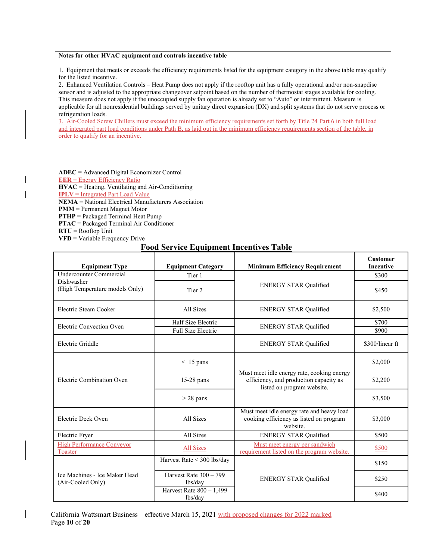#### **Notes for other HVAC equipment and controls incentive table**

1. Equipment that meets or exceeds the efficiency requirements listed for the equipment category in the above table may qualify for the listed incentive.

2. Enhanced Ventilation Controls – Heat Pump does not apply if the rooftop unit has a fully operational and/or non-snapdisc sensor and is adjusted to the appropriate changeover setpoint based on the number of thermostat stages available for cooling. This measure does not apply if the unoccupied supply fan operation is already set to "Auto" or intermittent. Measure is applicable for all nonresidential buildings served by unitary direct expansion (DX) and split systems that do not serve process or refrigeration loads.

3. Air-Cooled Screw Chillers must exceed the minimum efficiency requirements set forth by Title 24 Part 6 in both full load and integrated part load conditions under Path B, as laid out in the minimum efficiency requirements section of the table, in order to qualify for an incentive.

**ADEC** = Advanced Digital Economizer Control **EER** = Energy Efficiency Ratio **HVAC** = Heating, Ventilating and Air-Conditioning **IPLV** = Integrated Part Load Value **NEMA** = National Electrical Manufacturers Association **PMM** = Permanent Magnet Motor **PTHP** = Packaged Terminal Heat Pump **PTAC** = Packaged Terminal Air Conditioner

**RTU** = Rooftop Unit **VFD** = Variable Frequency Drive

 $\overline{\phantom{a}}$ 

### **Food Service Equipment Incentives Table**

| <b>Equipment Category</b><br><b>Equipment Type</b> |                                          | <b>Minimum Efficiency Requirement</b>                                                                              | <b>Customer</b><br><b>Incentive</b> |
|----------------------------------------------------|------------------------------------------|--------------------------------------------------------------------------------------------------------------------|-------------------------------------|
| <b>Undercounter Commercial</b>                     | Tier 1                                   |                                                                                                                    | \$300                               |
| Dishwasher<br>(High Temperature models Only)       | Tier 2                                   | <b>ENERGY STAR Qualified</b>                                                                                       | \$450                               |
| Electric Steam Cooker                              | All Sizes                                | <b>ENERGY STAR Qualified</b>                                                                                       | \$2,500                             |
| Electric Convection Oven                           | Half Size Electric<br>Full Size Electric | <b>ENERGY STAR Qualified</b>                                                                                       | \$700<br>\$900                      |
| Electric Griddle                                   |                                          | <b>ENERGY STAR Qualified</b>                                                                                       | \$300/linear ft                     |
|                                                    | $< 15$ pans                              |                                                                                                                    | \$2,000                             |
| Electric Combination Oven                          | $15-28$ pans                             | Must meet idle energy rate, cooking energy<br>efficiency, and production capacity as<br>listed on program website. | \$2,200                             |
|                                                    | $>$ 28 pans                              |                                                                                                                    | \$3,500                             |
| Electric Deck Oven                                 | All Sizes                                | Must meet idle energy rate and heavy load<br>cooking efficiency as listed on program<br>website.                   | \$3,000                             |
| Electric Fryer                                     | All Sizes                                | <b>ENERGY STAR Qualified</b>                                                                                       | \$500                               |
| <b>High Performance Conveyor</b><br>Toaster        | All Sizes                                | Must meet energy per sandwich<br>requirement listed on the program website.                                        | \$500                               |
|                                                    | Harvest Rate < 300 lbs/day               |                                                                                                                    | \$150                               |
| Ice Machines - Ice Maker Head<br>(Air-Cooled Only) | Harvest Rate 300 - 799<br>lbs/day        | <b>ENERGY STAR Qualified</b>                                                                                       | \$250                               |
|                                                    | Harvest Rate $800 - 1,499$<br>lbs/day    |                                                                                                                    | \$400                               |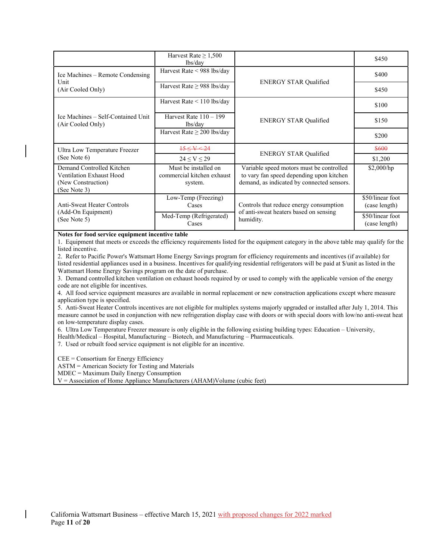|                                                                                             | Harvest Rate $\geq 1,500$<br>lbs/day                          |                                                                                                                                    | \$450                             |
|---------------------------------------------------------------------------------------------|---------------------------------------------------------------|------------------------------------------------------------------------------------------------------------------------------------|-----------------------------------|
| Ice Machines – Remote Condensing                                                            | Harvest Rate < 988 lbs/day                                    |                                                                                                                                    | \$400                             |
| Unit<br>(Air Cooled Only)                                                                   | Harvest Rate $\geq$ 988 lbs/day                               | <b>ENERGY STAR Qualified</b>                                                                                                       | \$450                             |
|                                                                                             | Harvest Rate $\leq 110$ lbs/day                               |                                                                                                                                    | \$100                             |
| Ice Machines – Self-Contained Unit<br>(Air Cooled Only)                                     | Harvest Rate $110 - 199$<br>lbs/day                           | <b>ENERGY STAR Qualified</b>                                                                                                       | \$150                             |
|                                                                                             | Harvest Rate $\geq$ 200 lbs/day                               |                                                                                                                                    | \$200                             |
| Ultra Low Temperature Freezer                                                               | $15 \leq V \leq 24$                                           |                                                                                                                                    | \$600                             |
| (See Note $6$ )                                                                             | $24 \le V \le 29$                                             | <b>ENERGY STAR Qualified</b>                                                                                                       | \$1,200                           |
| Demand Controlled Kitchen<br>Ventilation Exhaust Hood<br>(New Construction)<br>(See Note 3) | Must be installed on<br>commercial kitchen exhaust<br>system. | Variable speed motors must be controlled<br>to vary fan speed depending upon kitchen<br>demand, as indicated by connected sensors. | \$2,000/hp                        |
| <b>Anti-Sweat Heater Controls</b>                                                           | Low-Temp (Freezing)<br>Cases                                  | Controls that reduce energy consumption                                                                                            | \$50/linear foot<br>(case length) |
| (Add-On Equipment)<br>(See Note 5)                                                          | Med-Temp (Refrigerated)<br>Cases                              | of anti-sweat heaters based on sensing<br>humidity.                                                                                | \$50/linear foot<br>(case length) |

#### **Notes for food service equipment incentive table**

1. Equipment that meets or exceeds the efficiency requirements listed for the equipment category in the above table may qualify for the listed incentive.

2. Refer to Pacific Power's Wattsmart Home Energy Savings program for efficiency requirements and incentives (if available) for listed residential appliances used in a business. Incentives for qualifying residential refrigerators will be paid at \$/unit as listed in the Wattsmart Home Energy Savings program on the date of purchase.

3. Demand controlled kitchen ventilation on exhaust hoods required by or used to comply with the applicable version of the energy code are not eligible for incentives.

4. All food service equipment measures are available in normal replacement or new construction applications except where measure application type is specified.

5. Anti-Sweat Heater Controls incentives are not eligible for multiplex systems majorly upgraded or installed after July 1, 2014. This measure cannot be used in conjunction with new refrigeration display case with doors or with special doors with low/no anti-sweat heat on low-temperature display cases.

6. Ultra Low Temperature Freezer measure is only eligible in the following existing building types: Education – University,

Health/Medical – Hospital, Manufacturing – Biotech, and Manufacturing – Pharmaceuticals.

7. Used or rebuilt food service equipment is not eligible for an incentive.

CEE = Consortium for Energy Efficiency

ASTM = American Society for Testing and Materials

MDEC = Maximum Daily Energy Consumption

V = Association of Home Appliance Manufacturers (AHAM)Volume (cubic feet)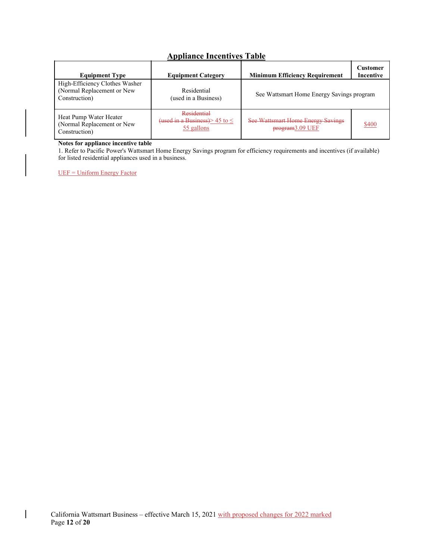# **Appliance Incentives Table**

| <b>Equipment Type</b>                                                         | <b>Equipment Category</b>                                           | <b>Minimum Efficiency Requirement</b>                       | Customer<br>Incentive |
|-------------------------------------------------------------------------------|---------------------------------------------------------------------|-------------------------------------------------------------|-----------------------|
| High-Efficiency Clothes Washer<br>(Normal Replacement or New<br>Construction) | Residential<br>(used in a Business)                                 | See Wattsmart Home Energy Savings program                   |                       |
| Heat Pump Water Heater<br>(Normal Replacement or New<br>Construction)         | Residential<br>(used in a Business) $\ge$ 45 to $\le$<br>55 gallons | <b>See Wattsmart Home Energy Savings</b><br>program3.09 UEF | \$400                 |

#### **Notes for appliance incentive table**

1. Refer to Pacific Power's Wattsmart Home Energy Savings program for efficiency requirements and incentives (if available) for listed residential appliances used in a business.

UEF = Uniform Energy Factor

 $\overline{\phantom{a}}$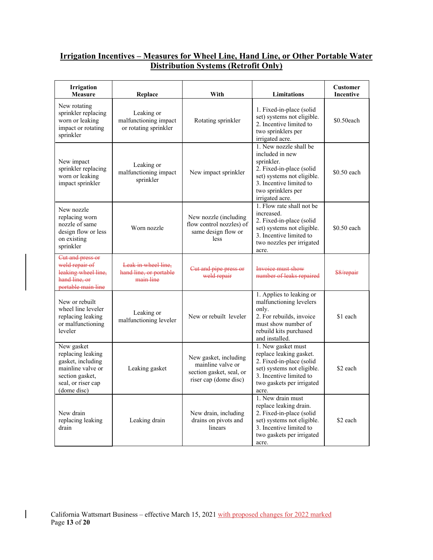# **Irrigation Incentives – Measures for Wheel Line, Hand Line, or Other Portable Water Distribution Systems (Retrofit Only)**

| Irrigation<br><b>Measure</b>                                                                                                      | Replace                                                      | With                                                                                            | Limitations                                                                                                                                                                           | <b>Customer</b><br><b>Incentive</b> |
|-----------------------------------------------------------------------------------------------------------------------------------|--------------------------------------------------------------|-------------------------------------------------------------------------------------------------|---------------------------------------------------------------------------------------------------------------------------------------------------------------------------------------|-------------------------------------|
| New rotating<br>sprinkler replacing<br>worn or leaking<br>impact or rotating<br>sprinkler                                         | Leaking or<br>malfunctioning impact<br>or rotating sprinkler | Rotating sprinkler                                                                              | 1. Fixed-in-place (solid<br>set) systems not eligible.<br>2. Incentive limited to<br>two sprinklers per<br>irrigated acre.                                                            | \$0.50each                          |
| New impact<br>sprinkler replacing<br>worn or leaking<br>impact sprinkler                                                          | Leaking or<br>malfunctioning impact<br>sprinkler             | New impact sprinkler                                                                            | 1. New nozzle shall be<br>included in new<br>sprinkler.<br>2. Fixed-in-place (solid<br>set) systems not eligible.<br>3. Incentive limited to<br>two sprinklers per<br>irrigated acre. | \$0.50 each                         |
| New nozzle<br>replacing worn<br>nozzle of same<br>design flow or less<br>on existing<br>sprinkler                                 | Worn nozzle                                                  | New nozzle (including<br>flow control nozzles) of<br>same design flow or<br>less                | 1. Flow rate shall not be<br>increased.<br>2. Fixed-in-place (solid<br>set) systems not eligible.<br>3. Incentive limited to<br>two nozzles per irrigated<br>acre.                    | \$0.50 each                         |
| Cut and press or<br>weld repair of<br>leaking wheel line,<br>hand line, or<br>portable main line                                  | Leak in wheel line.<br>hand line, or portable<br>main line   | Cut and pipe press or<br>weld repair                                                            | Invoice must show<br>number of leaks repaired                                                                                                                                         | \$8/repair                          |
| New or rebuilt<br>wheel line leveler<br>replacing leaking<br>or malfunctioning<br>leveler                                         | Leaking or<br>malfunctioning leveler                         | New or rebuilt leveler                                                                          | 1. Applies to leaking or<br>malfunctioning levelers<br>only.<br>2. For rebuilds, invoice<br>must show number of<br>rebuild kits purchased<br>and installed.                           | \$1 each                            |
| New gasket<br>replacing leaking<br>gasket, including<br>mainline valve or<br>section gasket,<br>seal, or riser cap<br>(dome disc) | Leaking gasket                                               | New gasket, including<br>mainline valve or<br>section gasket, seal, or<br>riser cap (dome disc) | 1. New gasket must<br>replace leaking gasket.<br>2. Fixed-in-place (solid<br>set) systems not eligible.<br>3. Incentive limited to<br>two gaskets per irrigated<br>acre.              | \$2 each                            |
| New drain<br>replacing leaking<br>drain                                                                                           | Leaking drain                                                | New drain, including<br>drains on pivots and<br>linears                                         | 1. New drain must<br>replace leaking drain.<br>2. Fixed-in-place (solid<br>set) systems not eligible.<br>3. Incentive limited to<br>two gaskets per irrigated<br>acre.                | \$2 each                            |

 $\overline{\phantom{a}}$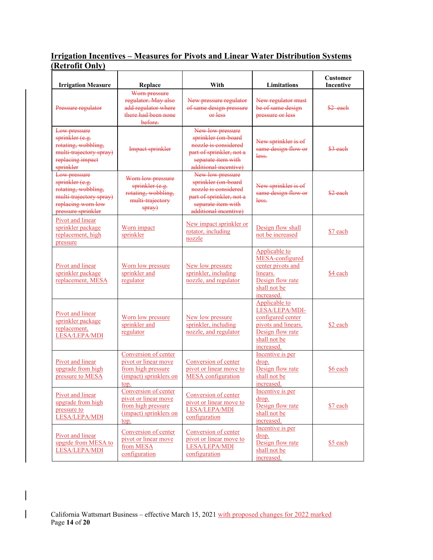## **Irrigation Incentives – Measures for Pivots and Linear Water Distribution Systems (Retrofit Only)**

| <b>Irrigation Measure</b>                                                                                                     | Replace                                                                                              | With                                                                                                                                       | Limitations                                                                                                                   | Customer<br>Incentive |
|-------------------------------------------------------------------------------------------------------------------------------|------------------------------------------------------------------------------------------------------|--------------------------------------------------------------------------------------------------------------------------------------------|-------------------------------------------------------------------------------------------------------------------------------|-----------------------|
| Pressure regulator                                                                                                            | Worn pressure<br>regulator. May also<br>add regulator where<br>there had been none<br>before.        | New pressure regulator<br>of same design pressure<br>$er$ less                                                                             | New regulator must<br>be of same design<br>pressure or less                                                                   | \$2 each              |
| Low pressure<br>sprinkler (e.g.<br>rotating, wobbling,<br>multi-trajectory spray)<br>replacing impact<br>sprinkler            | <b>Impact sprinkler</b>                                                                              | New low pressure<br>sprinkler (on-board<br>nozzle is considered<br>part of sprinkler, not a<br>separate item with<br>additional incentive) | New sprinkler is of<br>same design flow or<br>less.                                                                           | $$3$ each             |
| Low pressure<br>sprinkler (e.g.<br>rotating, wobbling,<br>multi-trajectory spray)<br>replacing worn low<br>pressure sprinkler | Worn low pressure<br>sprinkler (e.g.<br>rotating, wobbling,<br>multi-trajectory<br>spray)            | New low pressure<br>sprinkler (on-board<br>nozzle is considered<br>part of sprinkler, not a<br>separate item with<br>additional incentive) | New sprinkler is of<br>same design flow or<br>less.                                                                           | $$2$ each             |
| Pivot and linear<br>sprinkler package<br>replacement, high<br>pressure                                                        | Worn impact<br>sprinkler                                                                             | New impact sprinkler or<br>rotator, including<br>nozzle                                                                                    | Design flow shall<br>not be increased                                                                                         | \$7 each              |
| Pivot and linear<br>sprinkler package<br>replacement, MESA                                                                    | Worn low pressure<br>sprinkler and<br>regulator                                                      | New low pressure<br>sprinkler, including<br>nozzle, and regulator                                                                          | Applicable to<br>MESA-configured<br>center pivots and<br>linears.<br>Design flow rate<br>shall not be<br>increased.           | \$4 each              |
| Pivot and linear<br>sprinkler package<br>replacement,<br>LESA/LEPA/MDI                                                        | Worn low pressure<br>sprinkler and<br>regulator                                                      | New low pressure<br>sprinkler, including<br>nozzle, and regulator                                                                          | Applicable to<br>LESA/LEPA/MDI-<br>configured center<br>pivots and linears.<br>Design flow rate<br>shall not be<br>increased. | \$2 each              |
| Pivot and linear<br>upgrade from high<br>pressure to MESA                                                                     | Conversion of center<br>pivot or linear move<br>from high pressure<br>(impact) sprinklers on<br>top. | Conversion of center<br>pivot or linear move to<br><b>MESA</b> configuration                                                               | Incentive is per<br>drop.<br>Design flow rate<br>shall not be<br>increased.                                                   | \$6 each              |
| Pivot and linear<br>upgrade from high<br>pressure to<br>LESA/LEPA/MDI                                                         | Conversion of center<br>pivot or linear move<br>from high pressure<br>(impact) sprinklers on<br>top. | Conversion of center<br>pivot or linear move to<br>LESA/LEPA/MDI<br>configuration                                                          | Incentive is per<br>drop.<br>Design flow rate<br>shall not be<br>increased.                                                   | \$7 each              |
| Pivot and linear<br>upgrde from MESA to<br>LESA/LEPA/MDI                                                                      | Conversion of center<br>pivot or linear move<br>from MESA<br>configuration                           | Conversion of center<br>pivot or linear move to<br>LESA/LEPA/MDI<br>configuration                                                          | Incentive is per<br>drop.<br>Design flow rate<br>shall not be<br>increased.                                                   | \$5 each              |

 $\mathbf{I}$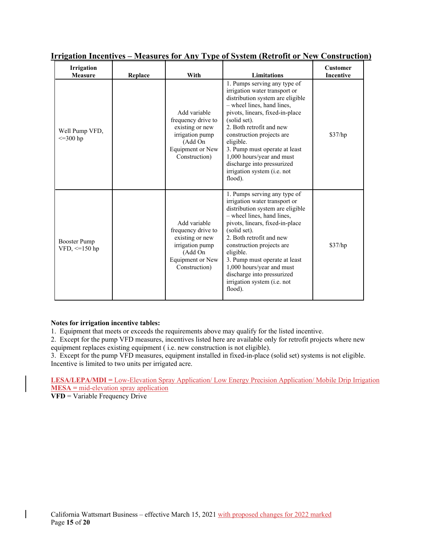| <b>Irrigation</b><br><b>Measure</b> | Replace | With                                                                                                                            | <b>Limitations</b>                                                                                                                                                                                                                                                                                                                                                                             | <b>Customer</b><br><b>Incentive</b> |
|-------------------------------------|---------|---------------------------------------------------------------------------------------------------------------------------------|------------------------------------------------------------------------------------------------------------------------------------------------------------------------------------------------------------------------------------------------------------------------------------------------------------------------------------------------------------------------------------------------|-------------------------------------|
| Well Pump VFD,<br>$\leq$ =300 hp    |         | Add variable<br>frequency drive to<br>existing or new<br>irrigation pump<br>(Add On<br><b>Equipment or New</b><br>Construction) | 1. Pumps serving any type of<br>irrigation water transport or<br>distribution system are eligible<br>- wheel lines, hand lines,<br>pivots, linears, fixed-in-place<br>(solid set).<br>2. Both retrofit and new<br>construction projects are<br>eligible.<br>3. Pump must operate at least<br>1,000 hours/year and must<br>discharge into pressurized<br>irrigation system (i.e. not<br>flood). | \$37/hp                             |
| Booster Pump<br>VFD, $\leq$ 150 hp  |         | Add variable<br>frequency drive to<br>existing or new<br>irrigation pump<br>(Add On<br>Equipment or New<br>Construction)        | 1. Pumps serving any type of<br>irrigation water transport or<br>distribution system are eligible<br>- wheel lines, hand lines,<br>pivots, linears, fixed-in-place<br>(solid set).<br>2. Both retrofit and new<br>construction projects are<br>eligible.<br>3. Pump must operate at least<br>1,000 hours/year and must<br>discharge into pressurized<br>irrigation system (i.e. not<br>flood). | \$37/hp                             |

### **Irrigation Incentives – Measures for Any Type of System (Retrofit or New Construction)**

#### **Notes for irrigation incentive tables:**

1. Equipment that meets or exceeds the requirements above may qualify for the listed incentive.

2. Except for the pump VFD measures, incentives listed here are available only for retrofit projects where new equipment replaces existing equipment ( i.e. new construction is not eligible).

3. Except for the pump VFD measures, equipment installed in fixed-in-place (solid set) systems is not eligible. Incentive is limited to two units per irrigated acre.

**LESA/LEPA/MDI =** Low-Elevation Spray Application/ Low Energy Precision Application/ Mobile Drip Irrigation **MESA =** mid-elevation spray application

**VFD** = Variable Frequency Drive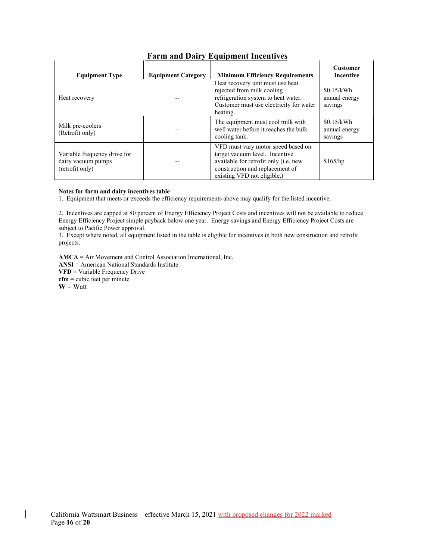| <b>Equipment Type</b>                                                 | <b>Equipment Category</b> | <b>Minimum Efficiency Requirements</b>                                                                                                                                          | <b>Customer</b><br>Incentive           |
|-----------------------------------------------------------------------|---------------------------|---------------------------------------------------------------------------------------------------------------------------------------------------------------------------------|----------------------------------------|
| Heat recovery                                                         |                           | Heat recovery unit must use heat<br>rejected from milk cooling<br>refrigeration system to heat water.<br>Customer must use electricity for water<br>heating.                    | \$0.15/kWh<br>annual energy<br>savings |
| Milk pre-coolers<br>(Retrofit only)                                   |                           | The equipment must cool milk with<br>well water before it reaches the bulk<br>cooling tank.                                                                                     | \$0.15/kWh<br>annual energy<br>savings |
| Variable frequency drive for<br>dairy vacuum pumps<br>(retrofit only) |                           | VFD must vary motor speed based on<br>target vacuum level. Incentive<br>available for retrofit only (i.e. new<br>construction and replacement of<br>existing VFD not eligible.) | \$165/hp                               |

## **Farm and Dairy Equipment Incentives**

#### **Notes for farm and dairy incentives table**

 $\overline{\phantom{a}}$ 

1. Equipment that meets or exceeds the efficiency requirements above may qualify for the listed incentive.

2. Incentives are capped at 80 percent of Energy Efficiency Project Costs and incentives will not be available to reduce Energy Efficiency Project simple payback below one year. Energy savings and Energy Efficiency Project Costs are subject to Pacific Power approval.

3. Except where noted, all equipment listed in the table is eligible for incentives in both new construction and retrofit projects.

**AMCA** = Air Movement and Control Association International, Inc. **ANSI** = American National Standards Institute **VFD =** Variable Frequency Drive **cfm** = cubic feet per minute  $W = W$ att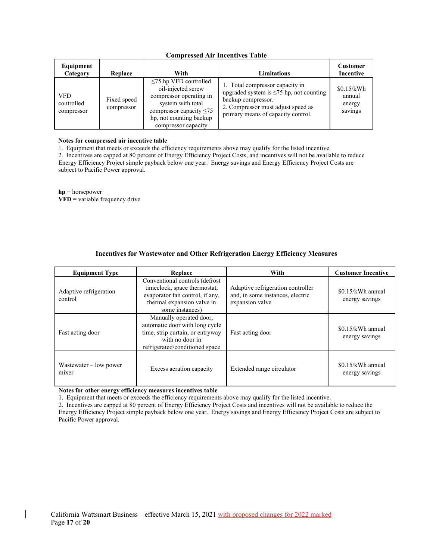| Equipment<br>Category           | Replace                   | With                                                                                                                                                                                 | Limitations                                                                                                                                                                        | <b>Customer</b><br>Incentive              |
|---------------------------------|---------------------------|--------------------------------------------------------------------------------------------------------------------------------------------------------------------------------------|------------------------------------------------------------------------------------------------------------------------------------------------------------------------------------|-------------------------------------------|
| VFD<br>controlled<br>compressor | Fixed speed<br>compressor | $\leq$ 75 hp VFD controlled<br>oil-injected screw<br>compressor operating in<br>system with total<br>compressor capacity $\leq 75$<br>hp, not counting backup<br>compressor capacity | 1. Total compressor capacity in<br>upgraded system is $\leq 75$ hp, not counting<br>backup compressor.<br>2. Compressor must adjust speed as<br>primary means of capacity control. | \$0.15/kWh<br>annual<br>energy<br>savings |

### **Compressed Air Incentives Table**

#### **Notes for compressed air incentive table**

1. Equipment that meets or exceeds the efficiency requirements above may qualify for the listed incentive.

2. Incentives are capped at 80 percent of Energy Efficiency Project Costs, and incentives will not be available to reduce Energy Efficiency Project simple payback below one year. Energy savings and Energy Efficiency Project Costs are subject to Pacific Power approval.

**hp** = horsepower **VFD** = variable frequency drive

### **Incentives for Wastewater and Other Refrigeration Energy Efficiency Measures**

| <b>Equipment Type</b>             | Replace                                                                                                                                             | With                                                                                     | <b>Customer Incentive</b>           |
|-----------------------------------|-----------------------------------------------------------------------------------------------------------------------------------------------------|------------------------------------------------------------------------------------------|-------------------------------------|
| Adaptive refrigeration<br>control | Conventional controls (defrost)<br>timeclock, space thermostat,<br>evaporator fan control, if any,<br>thermal expansion valve in<br>some instances) | Adaptive refrigeration controller<br>and, in some instances, electric<br>expansion valve | \$0.15/kWh annual<br>energy savings |
| Fast acting door                  | Manually operated door,<br>automatic door with long cycle<br>time, strip curtain, or entryway<br>with no door in<br>refrigerated/conditioned space  | Fast acting door                                                                         | \$0.15/kWh annual<br>energy savings |
| Wastewater $-$ low power<br>mixer | Excess aeration capacity                                                                                                                            | Extended range circulator                                                                | \$0.15/kWh annual<br>energy savings |

**Notes for other energy efficiency measures incentives table**

1. Equipment that meets or exceeds the efficiency requirements above may qualify for the listed incentive.

2. Incentives are capped at 80 percent of Energy Efficiency Project Costs and incentives will not be available to reduce the Energy Efficiency Project simple payback below one year. Energy savings and Energy Efficiency Project Costs are subject to Pacific Power approval.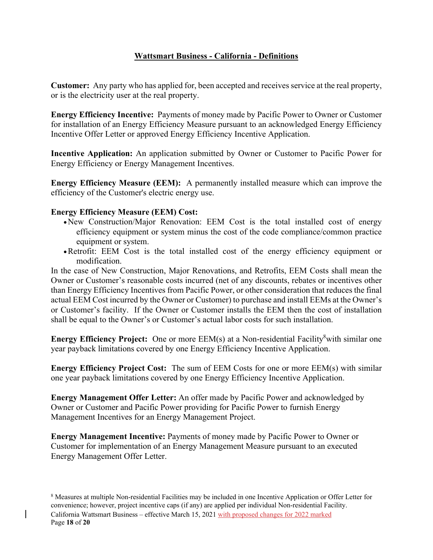# **Wattsmart Business - California - Definitions**

**Customer:** Any party who has applied for, been accepted and receives service at the real property, or is the electricity user at the real property.

**Energy Efficiency Incentive:** Payments of money made by Pacific Power to Owner or Customer for installation of an Energy Efficiency Measure pursuant to an acknowledged Energy Efficiency Incentive Offer Letter or approved Energy Efficiency Incentive Application.

**Incentive Application:** An application submitted by Owner or Customer to Pacific Power for Energy Efficiency or Energy Management Incentives.

**Energy Efficiency Measure (EEM):** A permanently installed measure which can improve the efficiency of the Customer's electric energy use.

### **Energy Efficiency Measure (EEM) Cost:**

- New Construction/Major Renovation: EEM Cost is the total installed cost of energy efficiency equipment or system minus the cost of the code compliance/common practice equipment or system.
- Retrofit: EEM Cost is the total installed cost of the energy efficiency equipment or modification.

In the case of New Construction, Major Renovations, and Retrofits, EEM Costs shall mean the Owner or Customer's reasonable costs incurred (net of any discounts, rebates or incentives other than Energy Efficiency Incentives from Pacific Power, or other consideration that reduces the final actual EEM Cost incurred by the Owner or Customer) to purchase and install EEMs at the Owner's or Customer's facility. If the Owner or Customer installs the EEM then the cost of installation shall be equal to the Owner's or Customer's actual labor costs for such installation.

**Energy Efficiency Project:** One or more EEM(s) at a Non-residential Facility<sup>8</sup> with similar one year payback limitations covered by one Energy Efficiency Incentive Application.

**Energy Efficiency Project Cost:** The sum of EEM Costs for one or more EEM(s) with similar one year payback limitations covered by one Energy Efficiency Incentive Application.

**Energy Management Offer Letter:** An offer made by Pacific Power and acknowledged by Owner or Customer and Pacific Power providing for Pacific Power to furnish Energy Management Incentives for an Energy Management Project.

**Energy Management Incentive:** Payments of money made by Pacific Power to Owner or Customer for implementation of an Energy Management Measure pursuant to an executed Energy Management Offer Letter.

California Wattsmart Business – effective March 15, 2021 with proposed changes for 2022 marked Page **18** of **20** <sup>8</sup> Measures at multiple Non-residential Facilities may be included in one Incentive Application or Offer Letter for convenience; however, project incentive caps (if any) are applied per individual Non-residential Facility.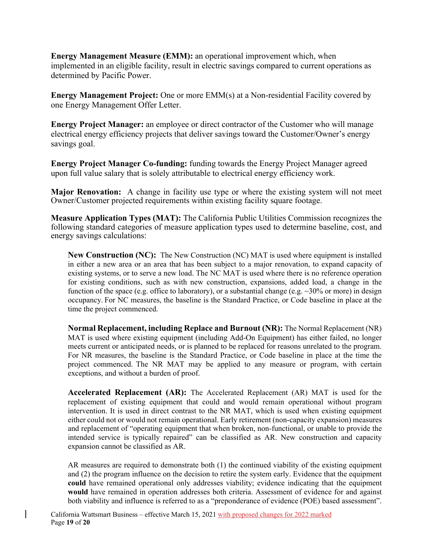**Energy Management Measure (EMM):** an operational improvement which, when implemented in an eligible facility, result in electric savings compared to current operations as determined by Pacific Power.

**Energy Management Project:** One or more EMM(s) at a Non-residential Facility covered by one Energy Management Offer Letter.

**Energy Project Manager:** an employee or direct contractor of the Customer who will manage electrical energy efficiency projects that deliver savings toward the Customer/Owner's energy savings goal.

**Energy Project Manager Co-funding:** funding towards the Energy Project Manager agreed upon full value salary that is solely attributable to electrical energy efficiency work.

**Major Renovation:** A change in facility use type or where the existing system will not meet Owner/Customer projected requirements within existing facility square footage.

**Measure Application Types (MAT):** The California Public Utilities Commission recognizes the following standard categories of measure application types used to determine baseline, cost, and energy savings calculations:

**New Construction (NC):** The New Construction (NC) MAT is used where equipment is installed in either a new area or an area that has been subject to a major renovation, to expand capacity of existing systems, or to serve a new load. The NC MAT is used where there is no reference operation for existing conditions, such as with new construction, expansions, added load, a change in the function of the space (e.g. office to laboratory), or a substantial change (e.g.  $\sim$ 30% or more) in design occupancy. For NC measures, the baseline is the Standard Practice, or Code baseline in place at the time the project commenced.

**Normal Replacement, including Replace and Burnout (NR):** The Normal Replacement (NR) MAT is used where existing equipment (including Add-On Equipment) has either failed, no longer meets current or anticipated needs, or is planned to be replaced for reasons unrelated to the program. For NR measures, the baseline is the Standard Practice, or Code baseline in place at the time the project commenced. The NR MAT may be applied to any measure or program, with certain exceptions, and without a burden of proof.

**Accelerated Replacement (AR):** The Accelerated Replacement (AR) MAT is used for the replacement of existing equipment that could and would remain operational without program intervention. It is used in direct contrast to the NR MAT, which is used when existing equipment either could not or would not remain operational. Early retirement (non-capacity expansion) measures and replacement of "operating equipment that when broken, non-functional, or unable to provide the intended service is typically repaired" can be classified as AR. New construction and capacity expansion cannot be classified as AR.

AR measures are required to demonstrate both (1) the continued viability of the existing equipment and (2) the program influence on the decision to retire the system early. Evidence that the equipment **could** have remained operational only addresses viability; evidence indicating that the equipment **would** have remained in operation addresses both criteria. Assessment of evidence for and against both viability and influence is referred to as a "preponderance of evidence (POE) based assessment".